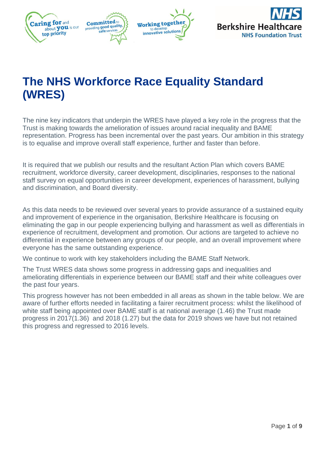

# **The NHS Workforce Race Equality Standard (WRES)**

The nine key indicators that underpin the WRES have played a key role in the progress that the Trust is making towards the amelioration of issues around racial inequality and BAME representation. Progress has been incremental over the past years. Our ambition in this strategy is to equalise and improve overall staff experience, further and faster than before.

It is required that we publish our results and the resultant Action Plan which covers BAME recruitment, workforce diversity, career development, disciplinaries, responses to the national staff survey on equal opportunities in career development, experiences of harassment, bullying and discrimination, and Board diversity.

As this data needs to be reviewed over several years to provide assurance of a sustained equity and improvement of experience in the organisation, Berkshire Healthcare is focusing on eliminating the gap in our people experiencing bullying and harassment as well as differentials in experience of recruitment, development and promotion. Our actions are targeted to achieve no differential in experience between any groups of our people, and an overall improvement where everyone has the same outstanding experience.

We continue to work with key stakeholders including the BAME Staff Network.

The Trust WRES data shows some progress in addressing gaps and inequalities and ameliorating differentials in experience between our BAME staff and their white colleagues over the past four years.

This progress however has not been embedded in all areas as shown in the table below. We are aware of further efforts needed in facilitating a fairer recruitment process: whilst the likelihood of white staff being appointed over BAME staff is at national average (1.46) the Trust made progress in 2017(1.36) and 2018 (1.27) but the data for 2019 shows we have but not retained this progress and regressed to 2016 levels.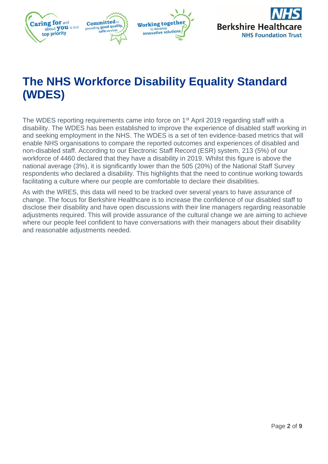

# **The NHS Workforce Disability Equality Standard (WDES)**

The WDES reporting requirements came into force on 1<sup>st</sup> April 2019 regarding staff with a disability. The WDES has been established to improve the experience of disabled staff working in and seeking employment in the NHS. The WDES is a set of ten evidence-based metrics that will enable NHS organisations to compare the reported outcomes and experiences of disabled and non-disabled staff. According to our Electronic Staff Record (ESR) system, 213 (5%) of our workforce of 4460 declared that they have a disability in 2019. Whilst this figure is above the national average (3%), it is significantly lower than the 505 (20%) of the National Staff Survey respondents who declared a disability. This highlights that the need to continue working towards facilitating a culture where our people are comfortable to declare their disabilities.

As with the WRES, this data will need to be tracked over several years to have assurance of change. The focus for Berkshire Healthcare is to increase the confidence of our disabled staff to disclose their disability and have open discussions with their line managers regarding reasonable adjustments required. This will provide assurance of the cultural change we are aiming to achieve where our people feel confident to have conversations with their managers about their disability and reasonable adjustments needed.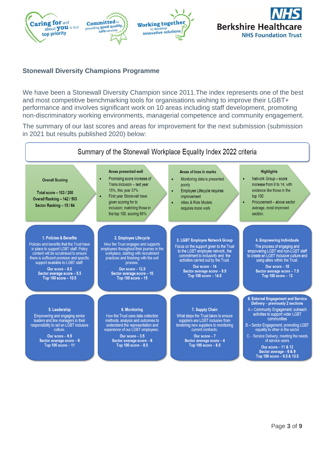

### **Stonewall Diversity Champions Programme**

We have been a Stonewall Diversity Champion since 2011.The index represents one of the best and most competitive benchmarking tools for organisations wishing to improve their LGBT+ performance and involves significant work on 10 areas including staff development, promoting non-discriminatory working environments, managerial competence and community engagement.

The summary of our last scores and areas for improvement for the next submission (submission in 2021 but results published 2020) below:

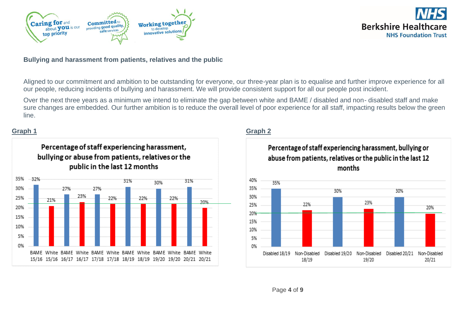



### **Bullying and harassment from patients, relatives and the public**

Aligned to our commitment and ambition to be outstanding for everyone, our three-year plan is to equalise and further improve experience for all our people, reducing incidents of bullying and harassment. We will provide consistent support for all our people post incident.

Over the next three years as a minimum we intend to eliminate the gap between white and BAME / disabled and non- disabled staff and make sure changes are embedded. Our further ambition is to reduce the overall level of poor experience for all staff, impacting results below the green line.

## **Graph 1 Graph 2**



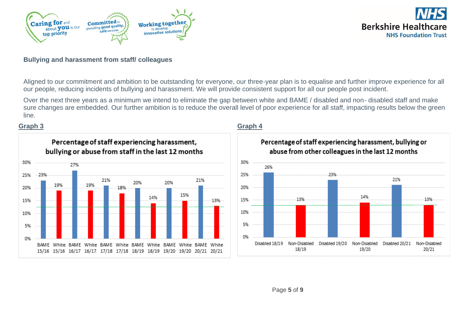



### **Bullying and harassment from staff/ colleagues**

Aligned to our commitment and ambition to be outstanding for everyone, our three-year plan is to equalise and further improve experience for all our people, reducing incidents of bullying and harassment. We will provide consistent support for all our people post incident.

Over the next three years as a minimum we intend to eliminate the gap between white and BAME / disabled and non- disabled staff and make sure changes are embedded. Our further ambition is to reduce the overall level of poor experience for all staff, impacting results below the green line.

### **Graph 3 Graph 4**



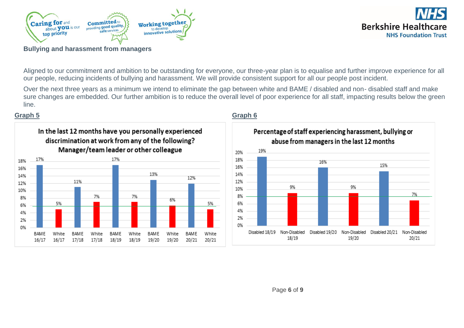



**Bullying and harassment from managers**

Aligned to our commitment and ambition to be outstanding for everyone, our three-year plan is to equalise and further improve experience for all our people, reducing incidents of bullying and harassment. We will provide consistent support for all our people post incident.

Over the next three years as a minimum we intend to eliminate the gap between white and BAME / disabled and non- disabled staff and make sure changes are embedded. Our further ambition is to reduce the overall level of poor experience for all staff, impacting results below the green line.

## **Graph 5 Graph 6**



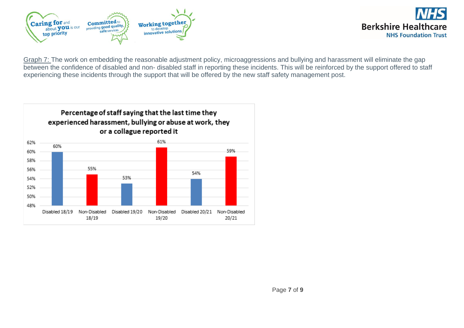



Graph 7: The work on embedding the reasonable adjustment policy, microaggressions and bullying and harassment will eliminate the gap between the confidence of disabled and non- disabled staff in reporting these incidents. This will be reinforced by the support offered to staff experiencing these incidents through the support that will be offered by the new staff safety management post.

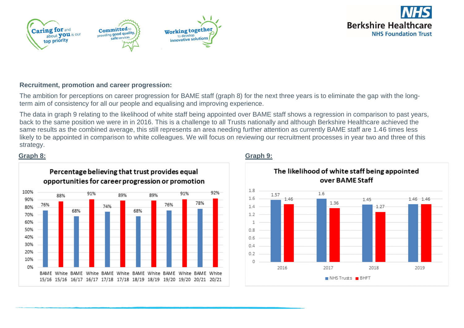







### **Recruitment, promotion and career progression:**

The ambition for perceptions on career progression for BAME staff (graph 8) for the next three years is to eliminate the gap with the longterm aim of consistency for all our people and equalising and improving experience.

The data in graph 9 relating to the likelihood of white staff being appointed over BAME staff shows a regression in comparison to past years, back to the same position we were in in 2016. This is a challenge to all Trusts nationally and although Berkshire Healthcare achieved the same results as the combined average, this still represents an area needing further attention as currently BAME staff are 1.46 times less likely to be appointed in comparison to white colleagues. We will focus on reviewing our recruitment processes in year two and three of this strategy.



# **Graph 8: Graph 9:**